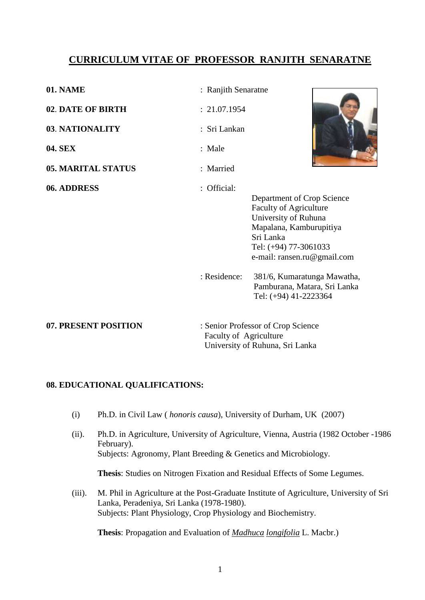# **CURRICULUM VITAE OF PROFESSOR RANJITH SENARATNE**

| 01. NAME                  | : Ranjith Senaratne  |                                                                                                                                                                                     |  |
|---------------------------|----------------------|-------------------------------------------------------------------------------------------------------------------------------------------------------------------------------------|--|
| 02. DATE OF BIRTH         | : 21.07.1954         |                                                                                                                                                                                     |  |
| 03. NATIONALITY           | : Sri Lankan         |                                                                                                                                                                                     |  |
| <b>04. SEX</b>            | : Male               |                                                                                                                                                                                     |  |
| <b>05. MARITAL STATUS</b> | : Married            |                                                                                                                                                                                     |  |
| 06. ADDRESS               | : Official:          | Department of Crop Science<br><b>Faculty of Agriculture</b><br>University of Ruhuna<br>Mapalana, Kamburupitiya<br>Sri Lanka<br>Tel: (+94) 77-3061033<br>e-mail: ransen.ru@gmail.com |  |
|                           | : Residence:         | 381/6, Kumaratunga Mawatha,<br>Pamburana, Matara, Sri Lanka<br>Tel: (+94) 41-2223364                                                                                                |  |
| <b>DRECENT BOCHELON</b>   | $\alpha$ 'n $\alpha$ | $\sim$ $\sim$                                                                                                                                                                       |  |

**07. PRESENT POSITION** : Senior Professor of Crop Science Faculty of Agriculture University of Ruhuna, Sri Lanka

## **08. EDUCATIONAL QUALIFICATIONS:**

- (i) Ph.D. in Civil Law ( *honoris causa*), University of Durham, UK (2007)
- (ii). Ph.D. in Agriculture, University of Agriculture, Vienna, Austria (1982 October -1986 February). Subjects: Agronomy, Plant Breeding & Genetics and Microbiology.

**Thesis**: Studies on Nitrogen Fixation and Residual Effects of Some Legumes.

(iii). M. Phil in Agriculture at the Post-Graduate Institute of Agriculture, University of Sri Lanka, Peradeniya, Sri Lanka (1978-1980). Subjects: Plant Physiology, Crop Physiology and Biochemistry.

**Thesis**: Propagation and Evaluation of *Madhuca longifolia* L. Macbr.)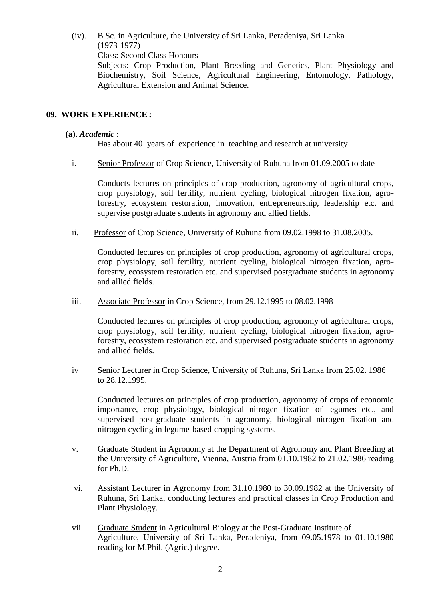(iv). B.Sc. in Agriculture, the University of Sri Lanka, Peradeniya, Sri Lanka (1973-1977)

Class: Second Class Honours

Subjects: Crop Production, Plant Breeding and Genetics, Plant Physiology and Biochemistry, Soil Science, Agricultural Engineering, Entomology, Pathology, Agricultural Extension and Animal Science.

## **09. WORK EXPERIENCE :**

#### **(a).** *Academic* :

Has about 40 years of experience in teaching and research at university

i. Senior Professor of Crop Science, University of Ruhuna from 01.09.2005 to date

Conducts lectures on principles of crop production, agronomy of agricultural crops, crop physiology, soil fertility, nutrient cycling, biological nitrogen fixation, agroforestry, ecosystem restoration, innovation, entrepreneurship, leadership etc. and supervise postgraduate students in agronomy and allied fields.

ii. Professor of Crop Science, University of Ruhuna from 09.02.1998 to 31.08.2005.

Conducted lectures on principles of crop production, agronomy of agricultural crops, crop physiology, soil fertility, nutrient cycling, biological nitrogen fixation, agroforestry, ecosystem restoration etc. and supervised postgraduate students in agronomy and allied fields.

iii. Associate Professor in Crop Science, from 29.12.1995 to 08.02.1998

Conducted lectures on principles of crop production, agronomy of agricultural crops, crop physiology, soil fertility, nutrient cycling, biological nitrogen fixation, agroforestry, ecosystem restoration etc. and supervised postgraduate students in agronomy and allied fields.

iv Senior Lecturer in Crop Science, University of Ruhuna, Sri Lanka from 25.02. 1986 to 28.12.1995.

Conducted lectures on principles of crop production, agronomy of crops of economic importance, crop physiology, biological nitrogen fixation of legumes etc., and supervised post-graduate students in agronomy, biological nitrogen fixation and nitrogen cycling in legume-based cropping systems.

- v. Graduate Student in Agronomy at the Department of Agronomy and Plant Breeding at the University of Agriculture, Vienna, Austria from 01.10.1982 to 21.02.1986 reading for Ph.D.
- vi. Assistant Lecturer in Agronomy from 31.10.1980 to 30.09.1982 at the University of Ruhuna, Sri Lanka, conducting lectures and practical classes in Crop Production and Plant Physiology.
- vii. Graduate Student in Agricultural Biology at the Post-Graduate Institute of Agriculture, University of Sri Lanka, Peradeniya, from 09.05.1978 to 01.10.1980 reading for M.Phil. (Agric.) degree.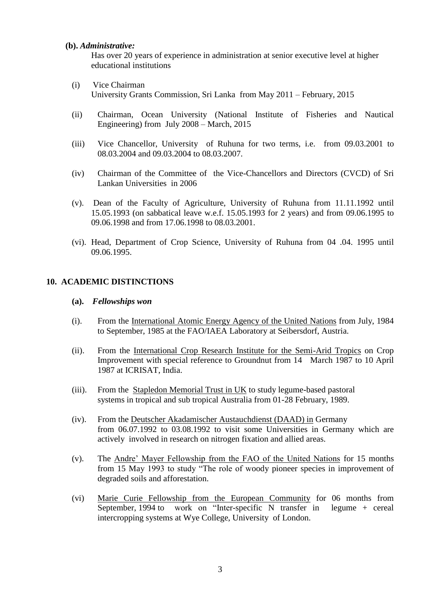#### **(b).** *Administrative:*

Has over 20 years of experience in administration at senior executive level at higher educational institutions

- (i) Vice Chairman University Grants Commission, Sri Lanka from May 2011 – February, 2015
- (ii) Chairman, Ocean University (National Institute of Fisheries and Nautical Engineering) from July 2008 – March, 2015
- (iii) Vice Chancellor, University of Ruhuna for two terms, i.e. from 09.03.2001 to 08.03.2004 and 09.03.2004 to 08.03.2007.
- (iv) Chairman of the Committee of the Vice-Chancellors and Directors (CVCD) of Sri Lankan Universities in 2006
- (v). Dean of the Faculty of Agriculture, University of Ruhuna from 11.11.1992 until 15.05.1993 (on sabbatical leave w.e.f. 15.05.1993 for 2 years) and from 09.06.1995 to 09.06.1998 and from 17.06.1998 to 08.03.2001.
- (vi). Head, Department of Crop Science, University of Ruhuna from 04 .04. 1995 until 09.06.1995.

## **10. ACADEMIC DISTINCTIONS**

#### **(a).** *Fellowships won*

- (i). From the International Atomic Energy Agency of the United Nations from July, 1984 to September, 1985 at the FAO/IAEA Laboratory at Seibersdorf, Austria.
- (ii). From the International Crop Research Institute for the Semi-Arid Tropics on Crop Improvement with special reference to Groundnut from 14 March 1987 to 10 April 1987 at ICRISAT, India.
- (iii). From the Stapledon Memorial Trust in UK to study legume-based pastoral systems in tropical and sub tropical Australia from 01-28 February, 1989.
- (iv). From the Deutscher Akadamischer Austauchdienst (DAAD) in Germany from 06.07.1992 to 03.08.1992 to visit some Universities in Germany which are actively involved in research on nitrogen fixation and allied areas.
- (v). The Andre" Mayer Fellowship from the FAO of the United Nations for 15 months from 15 May 1993 to study "The role of woody pioneer species in improvement of degraded soils and afforestation.
- (vi) Marie Curie Fellowship from the European Community for 06 months from September, 1994 to work on "Inter-specific N transfer in legume + cereal intercropping systems at Wye College, University of London.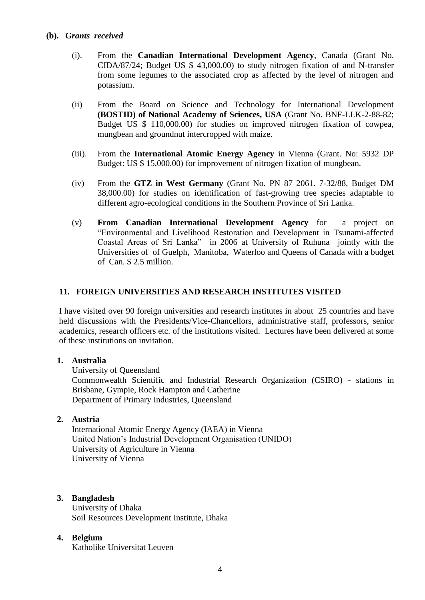- (i). From the **Canadian International Development Agency**, Canada (Grant No. CIDA/87/24; Budget US \$ 43,000.00) to study nitrogen fixation of and N-transfer from some legumes to the associated crop as affected by the level of nitrogen and potassium.
- (ii) From the Board on Science and Technology for International Development **(BOSTID) of National Academy of Sciences, USA** (Grant No. BNF-LLK-2-88-82; Budget US \$ 110,000.00) for studies on improved nitrogen fixation of cowpea, mungbean and groundnut intercropped with maize.
- (iii). From the **International Atomic Energy Agency** in Vienna (Grant. No: 5932 DP Budget: US \$ 15,000.00) for improvement of nitrogen fixation of mungbean.
- (iv) From the **GTZ in West Germany** (Grant No. PN 87 2061. 7-32/88, Budget DM 38,000.00) for studies on identification of fast-growing tree species adaptable to different agro-ecological conditions in the Southern Province of Sri Lanka.
- (v) **From Canadian International Development Agency** for a project on "Environmental and Livelihood Restoration and Development in Tsunami-affected Coastal Areas of Sri Lanka" in 2006 at University of Ruhuna jointly with the Universities of of Guelph, Manitoba, Waterloo and Queens of Canada with a budget of Can. \$ 2.5 million.

## **11. FOREIGN UNIVERSITIES AND RESEARCH INSTITUTES VISITED**

I have visited over 90 foreign universities and research institutes in about 25 countries and have held discussions with the Presidents/Vice-Chancellors, administrative staff, professors, senior academics, research officers etc. of the institutions visited. Lectures have been delivered at some of these institutions on invitation.

## **1. Australia**

University of Queensland

Commonwealth Scientific and Industrial Research Organization (CSIRO) - stations in Brisbane, Gympie, Rock Hampton and Catherine Department of Primary Industries, Queensland

## **2. Austria**

International Atomic Energy Agency (IAEA) in Vienna United Nation"s Industrial Development Organisation (UNIDO) University of Agriculture in Vienna University of Vienna

## **3. Bangladesh**

University of Dhaka Soil Resources Development Institute, Dhaka

#### **4. Belgium**

Katholike Universitat Leuven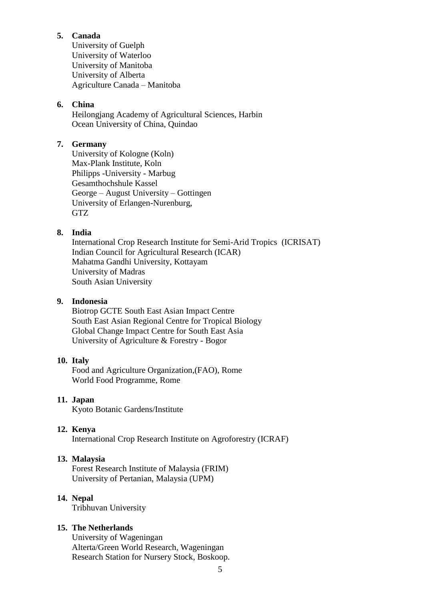## **5. Canada**

University of Guelph University of Waterloo University of Manitoba University of Alberta Agriculture Canada – Manitoba

# **6. China**

 Heilongjang Academy of Agricultural Sciences, Harbin Ocean University of China, Quindao

## **7. Germany**

University of Kologne (Koln) Max-Plank Institute, Koln Philipps -University - Marbug Gesamthochshule Kassel George – August University – Gottingen University of Erlangen-Nurenburg, GTZ

## **8. India**

International Crop Research Institute for Semi-Arid Tropics (ICRISAT) Indian Council for Agricultural Research (ICAR) Mahatma Gandhi University, Kottayam University of Madras South Asian University

### **9. Indonesia**

Biotrop GCTE South East Asian Impact Centre South East Asian Regional Centre for Tropical Biology Global Change Impact Centre for South East Asia University of Agriculture & Forestry - Bogor

#### **10. Italy**

Food and Agriculture Organization,(FAO), Rome World Food Programme, Rome

#### **11. Japan**

Kyoto Botanic Gardens/Institute

#### **12. Kenya**

International Crop Research Institute on Agroforestry (ICRAF)

#### **13. Malaysia**

Forest Research Institute of Malaysia (FRIM) University of Pertanian, Malaysia (UPM)

#### **14. Nepal**

Tribhuvan University

## **15. The Netherlands**

University of Wageningan Alterta/Green World Research, Wageningan Research Station for Nursery Stock, Boskoop.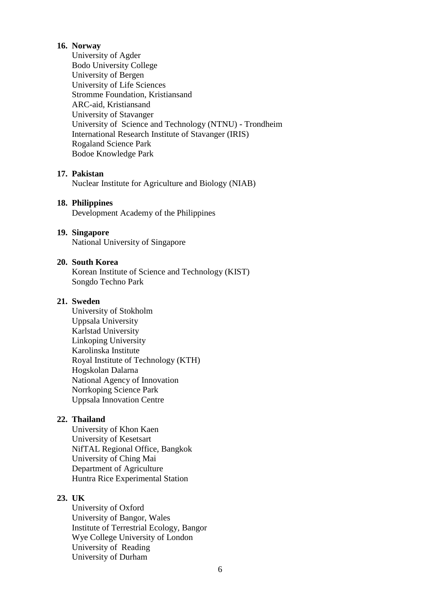### **16. Norway**

University of Agder Bodo University College University of Bergen University of Life Sciences Stromme Foundation, Kristiansand ARC-aid, Kristiansand University of Stavanger University of Science and Technology (NTNU) - Trondheim International Research Institute of Stavanger (IRIS) Rogaland Science Park Bodoe Knowledge Park

#### **17. Pakistan**

Nuclear Institute for Agriculture and Biology (NIAB)

#### **18. Philippines**

Development Academy of the Philippines

### **19. Singapore**

National University of Singapore

### **20. South Korea**

Korean Institute of Science and Technology (KIST) Songdo Techno Park

#### **21. Sweden**

University of Stokholm Uppsala University Karlstad University Linkoping University Karolinska Institute Royal Institute of Technology (KTH) Hogskolan Dalarna National Agency of Innovation Norrkoping Science Park Uppsala Innovation Centre

## **22. Thailand**

University of Khon Kaen University of Kesetsart NifTAL Regional Office, Bangkok University of Ching Mai Department of Agriculture Huntra Rice Experimental Station

## **23. UK**

University of Oxford University of Bangor, Wales Institute of Terrestrial Ecology, Bangor Wye College University of London University of Reading University of Durham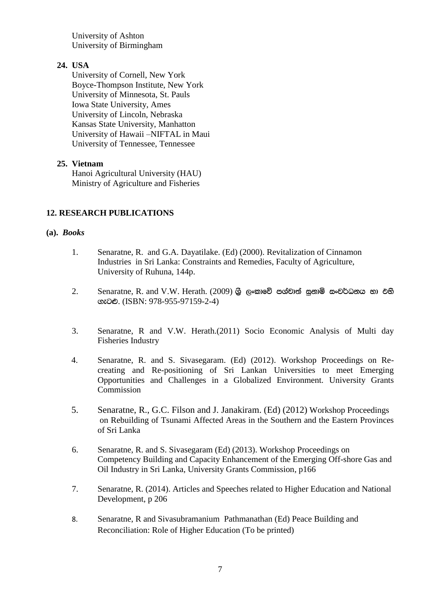University of Ashton University of Birmingham

## **24. USA**

University of Cornell, New York Boyce-Thompson Institute, New York University of Minnesota, St. Pauls Iowa State University, Ames University of Lincoln, Nebraska Kansas State University, Manhatton University of Hawaii –NIFTAL in Maui University of Tennessee, Tennessee

## **25. Vietnam**

Hanoi Agricultural University (HAU) Ministry of Agriculture and Fisheries

## **12. RESEARCH PUBLICATIONS**

## **(a).** *Books*

- 1. Senaratne, R. and G.A. Dayatilake. (Ed) (2000). Revitalization of Cinnamon Industries in Sri Lanka: Constraints and Remedies, Faculty of Agriculture, University of Ruhuna, 144p.
- $2.$  Senaratne, R. and V.W. Herath. (2009) ශුි ලංකාවේ පශ්චාත් සුනාමි සංවර්ධනය හා එහි ගැටළු. (ISBN: 978-955-97159-2-4)
- 3. Senaratne, R and V.W. Herath.(2011) Socio Economic Analysis of Multi day Fisheries Industry
- 4. Senaratne, R. and S. Sivasegaram. (Ed) (2012). Workshop Proceedings on Recreating and Re-positioning of Sri Lankan Universities to meet Emerging Opportunities and Challenges in a Globalized Environment. University Grants Commission
- 5. Senaratne, R., G.C. Filson and J. Janakiram. (Ed) (2012) Workshop Proceedings on Rebuilding of Tsunami Affected Areas in the Southern and the Eastern Provinces of Sri Lanka
- 6. Senaratne, R. and S. Sivasegaram (Ed) (2013). Workshop Proceedings on Competency Building and Capacity Enhancement of the Emerging Off-shore Gas and Oil Industry in Sri Lanka, University Grants Commission, p166
- 7. Senaratne, R. (2014). Articles and Speeches related to Higher Education and National Development, p 206
- 8. Senaratne, R and Sivasubramanium Pathmanathan (Ed) Peace Building and Reconciliation: Role of Higher Education (To be printed)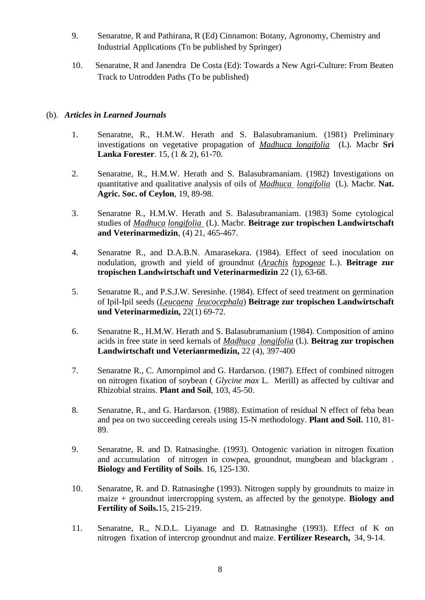- 9. Senaratne, R and Pathirana, R (Ed) Cinnamon: Botany, Agronomy, Chemistry and Industrial Applications (To be published by Springer)
- 10. Senaratne, R and Janendra De Costa (Ed): Towards a New Agri-Culture: From Beaten Track to Untrodden Paths (To be published)

## (b). *Articles in Learned Journals*

- 1. Senaratne, R., H.M.W. Herath and S. Balasubramanium. (1981) Preliminary investigations on vegetative propagation of *Madhuca longifolia* (L). Macbr **Sri Lanka Forester**. 15, (1 & 2), 61-70.
- 2. Senaratne, R., H.M.W. Herath and S. Balasubramaniam. (1982) Investigations on quantitative and qualitative analysis of oils of *Madhuca longifolia* (L). Macbr. **Nat. Agric. Soc. of Ceylon**, 19, 89-98.
- 3. Senaratne R., H.M.W. Herath and S. Balasubramaniam. (1983) Some cytological studies of *Madhuca longifolia* (L). Macbr. **Beitrage zur tropischen Landwirtschaft and Veterinarmedizin**, (4) 21, 465-467.
- 4. Senaratne R., and D.A.B.N. Amarasekara. (1984). Effect of seed inoculation on nodulation, growth and yield of groundnut (*Arachis hypogeae* L.). **Beitrage zur tropischen Landwirtschaft und Veterinarmedizin** 22 (1), 63-68.
- 5. Senaratne R., and P.S.J.W. Seresinhe. (1984). Effect of seed treatment on germination of Ipil-Ipil seeds (*Leucaena leucocephala*) **Beitrage zur tropischen Landwirtschaft und Veterinarmedizin,** 22(1) 69-72.
- 6. Senaratne R., H.M.W. Herath and S. Balasubramanium (1984). Composition of amino acids in free state in seed kernals of *Madhuca longifolia* (L). **Beitrag zur tropischen Landwirtschaft und Veterianrmedizin,** 22 (4), 397-400
- 7. Senaratne R., C. Amornpimol and G. Hardarson. (1987). Effect of combined nitrogen on nitrogen fixation of soybean ( *Glycine max* L. Merill) as affected by cultivar and Rhizobial strains. **Plant and Soil**, 103, 45-50.
- 8. Senaratne, R., and G. Hardarson. (1988). Estimation of residual N effect of feba bean and pea on two succeeding cereals using 15-N methodology. **Plant and Soil.** 110, 81- 89.
- 9. Senaratne, R. and D. Ratnasinghe. (1993). Ontogenic variation in nitrogen fixation and accumulation of nitrogen in cowpea, groundnut, mungbean and blackgram . **Biology and Fertility of Soils**. 16, 125-130.
- 10. Senaratne, R. and D. Ratnasinghe (1993). Nitrogen supply by groundnuts to maize in maize + groundnut intercropping system, as affected by the genotype. **Biology and Fertility of Soils.**15, 215-219.
- 11. Senaratne, R., N.D.L. Liyanage and D. Ratnasinghe (1993). Effect of K on nitrogen fixation of intercrop groundnut and maize. **Fertilizer Research,** 34, 9-14.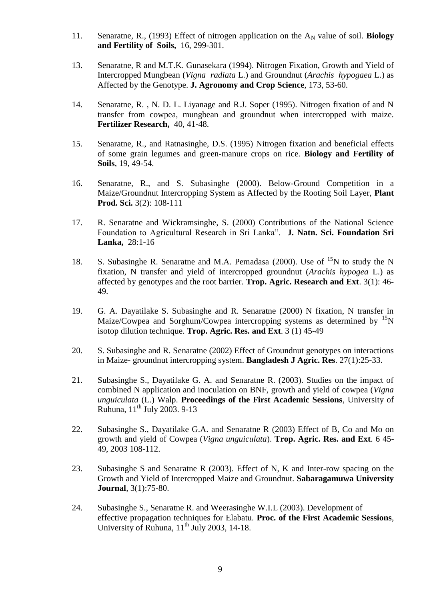- 11. Senaratne, R., (1993) Effect of nitrogen application on the A<sub>N</sub> value of soil. **Biology and Fertility of Soils,** 16, 299-301.
- 13. Senaratne, R and M.T.K. Gunasekara (1994). Nitrogen Fixation, Growth and Yield of Intercropped Mungbean (*Vigna radiata* L.) and Groundnut (*Arachis hypogaea* L.) as Affected by the Genotype. **J. Agronomy and Crop Science**, 173, 53-60.
- 14. Senaratne, R. , N. D. L. Liyanage and R.J. Soper (1995). Nitrogen fixation of and N transfer from cowpea, mungbean and groundnut when intercropped with maize. **Fertilizer Research,** 40, 41-48.
- 15. Senaratne, R., and Ratnasinghe, D.S. (1995) Nitrogen fixation and beneficial effects of some grain legumes and green-manure crops on rice. **Biology and Fertility of Soils**, 19, 49-54.
- 16. Senaratne, R., and S. Subasinghe (2000). Below-Ground Competition in a Maize/Groundnut Intercropping System as Affected by the Rooting Soil Layer, **Plant Prod. Sci.** 3(2): 108-111
- 17. R. Senaratne and Wickramsinghe, S. (2000) Contributions of the National Science Foundation to Agricultural Research in Sri Lanka". **J. Natn. Sci. Foundation Sri Lanka,** 28:1-16
- 18. S. Subasinghe R. Senaratne and M.A. Pemadasa (2000). Use of  $^{15}N$  to study the N fixation, N transfer and yield of intercropped groundnut (*Arachis hypogea* L.) as affected by genotypes and the root barrier. **Trop. Agric. Research and Ext**. 3(1): 46- 49.
- 19. G. A. Dayatilake S. Subasinghe and R. Senaratne (2000) N fixation, N transfer in Maize/Cowpea and Sorghum/Cowpea intercropping systems as determined by  ${}^{15}N$ isotop dilution technique. **Trop. Agric. Res. and Ext**. 3 (1) 45-49
- 20. S. Subasinghe and R. Senaratne (2002) Effect of Groundnut genotypes on interactions in Maize- groundnut intercropping system. **Bangladesh J Agric. Res**. 27(1):25-33.
- 21. Subasinghe S., Dayatilake G. A. and Senaratne R. (2003). Studies on the impact of combined N application and inoculation on BNF, growth and yield of cowpea (*Vigna unguiculata* (L.) Walp. **Proceedings of the First Academic Sessions**, University of Ruhuna,  $11^{th}$  July 2003, 9-13
- 22. Subasinghe S., Dayatilake G.A. and Senaratne R (2003) Effect of B, Co and Mo on growth and yield of Cowpea (*Vigna unguiculata*). **Trop. Agric. Res. and Ext**. 6 45- 49, 2003 108-112.
- 23. Subasinghe S and Senaratne R (2003). Effect of N, K and Inter-row spacing on the Growth and Yield of Intercropped Maize and Groundnut. **Sabaragamuwa University Journal**, 3(1):75-80.
- 24. Subasinghe S., Senaratne R. and Weerasinghe W.I.L (2003). Development of effective propagation techniques for Elabatu. **Proc. of the First Academic Sessions**, University of Ruhuna,  $11^{th}$  July 2003, 14-18.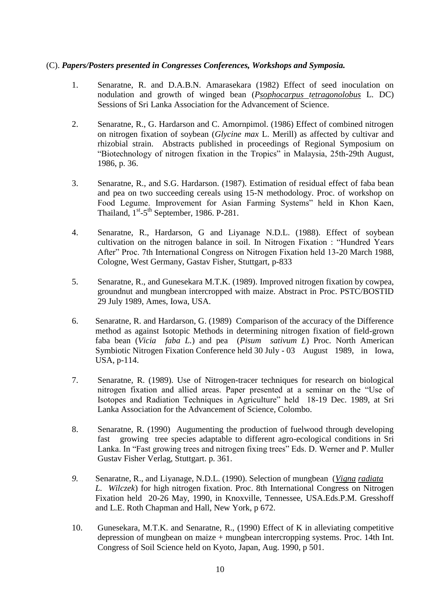## (C). *Papers/Posters presented in Congresses Conferences, Workshops and Symposia.*

- 1. Senaratne, R. and D.A.B.N. Amarasekara (1982) Effect of seed inoculation on nodulation and growth of winged bean (*Psophocarpus tetragonolobus* L. DC) Sessions of Sri Lanka Association for the Advancement of Science.
- 2. Senaratne, R., G. Hardarson and C. Amornpimol. (1986) Effect of combined nitrogen on nitrogen fixation of soybean (*Glycine max* L. Merill) as affected by cultivar and rhizobial strain. Abstracts published in proceedings of Regional Symposium on "Biotechnology of nitrogen fixation in the Tropics" in Malaysia, 25th-29th August, 1986, p. 36.
- 3. Senaratne, R., and S.G. Hardarson. (1987). Estimation of residual effect of faba bean and pea on two succeeding cereals using 15-N methodology. Proc. of workshop on Food Legume. Improvement for Asian Farming Systems" held in Khon Kaen, Thailand,  $1<sup>st</sup> - 5<sup>th</sup>$  September, 1986. P-281.
- 4. Senaratne, R., Hardarson, G and Liyanage N.D.L. (1988). Effect of soybean cultivation on the nitrogen balance in soil. In Nitrogen Fixation : "Hundred Years After" Proc. 7th International Congress on Nitrogen Fixation held 13-20 March 1988, Cologne, West Germany, Gastav Fisher, Stuttgart, p-833
- 5. Senaratne, R., and Gunesekara M.T.K. (1989). Improved nitrogen fixation by cowpea, groundnut and mungbean intercropped with maize. Abstract in Proc. PSTC/BOSTID 29 July 1989, Ames, Iowa, USA.
- 6. Senaratne, R. and Hardarson, G. (1989) Comparison of the accuracy of the Difference method as against Isotopic Methods in determining nitrogen fixation of field-grown faba bean (*Vicia faba L.*) and pea (*Pisum sativum L*) Proc. North American Symbiotic Nitrogen Fixation Conference held 30 July - 03 August 1989, in Iowa, USA, p-114.
- 7. Senaratne, R. (1989). Use of Nitrogen-tracer techniques for research on biological nitrogen fixation and allied areas. Paper presented at a seminar on the "Use of Isotopes and Radiation Techniques in Agriculture" held 18-19 Dec. 1989, at Sri Lanka Association for the Advancement of Science, Colombo.
- 8. Senaratne, R. (1990) Augumenting the production of fuelwood through developing fast growing tree species adaptable to different agro-ecological conditions in Sri Lanka. In "Fast growing trees and nitrogen fixing trees" Eds. D. Werner and P. Muller Gustav Fisher Verlag, Stuttgart. p. 361.
- *9.* Senaratne, R., and Liyanage, N.D.L. (1990). Selection of mungbean (*Vigna radiata L. Wilczek*) for high nitrogen fixation. Proc. 8th International Congress on Nitrogen Fixation held 20-26 May, 1990, in Knoxville, Tennessee, USA.Eds.P.M. Gresshoff and L.E. Roth Chapman and Hall, New York, p 672.
- 10. Gunesekara, M.T.K. and Senaratne, R., (1990) Effect of K in alleviating competitive depression of mungbean on maize + mungbean intercropping systems. Proc. 14th Int. Congress of Soil Science held on Kyoto, Japan, Aug. 1990, p 501.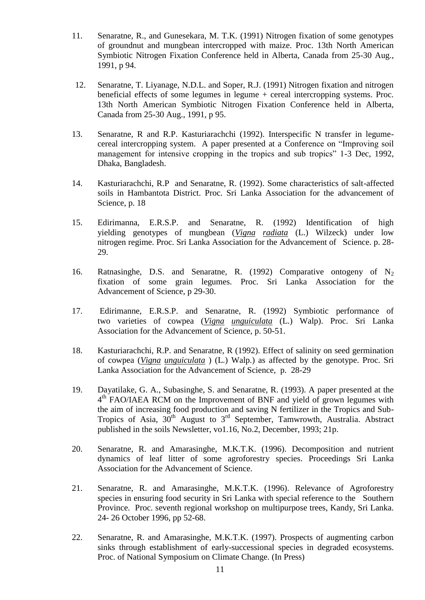- 11. Senaratne, R., and Gunesekara, M. T.K. (1991) Nitrogen fixation of some genotypes of groundnut and mungbean intercropped with maize. Proc. 13th North American Symbiotic Nitrogen Fixation Conference held in Alberta, Canada from 25-30 Aug., 1991, p 94.
- 12. Senaratne, T. Liyanage, N.D.L. and Soper, R.J. (1991) Nitrogen fixation and nitrogen beneficial effects of some legumes in legume + cereal intercropping systems. Proc. 13th North American Symbiotic Nitrogen Fixation Conference held in Alberta, Canada from 25-30 Aug., 1991, p 95.
- 13. Senaratne, R and R.P. Kasturiarachchi (1992). Interspecific N transfer in legumecereal intercropping system. A paper presented at a Conference on "Improving soil management for intensive cropping in the tropics and sub tropics" 1-3 Dec, 1992, Dhaka, Bangladesh.
- 14. Kasturiarachchi, R.P and Senaratne, R. (1992). Some characteristics of salt-affected soils in Hambantota District. Proc. Sri Lanka Association for the advancement of Science, p. 18
- 15. Edirimanna, E.R.S.P. and Senaratne, R. (1992) Identification of high yielding genotypes of mungbean (*Vigna radiata* (L.) Wilzeck) under low nitrogen regime. Proc. Sri Lanka Association for the Advancement of Science. p. 28- 29.
- 16. Ratnasinghe, D.S. and Senaratne, R. (1992) Comparative ontogeny of  $N<sub>2</sub>$ fixation of some grain legumes. Proc. Sri Lanka Association for the Advancement of Science, p 29-30.
- 17. Edirimanne, E.R.S.P. and Senaratne, R. (1992) Symbiotic performance of two varieties of cowpea (*Vigna unguiculata* (L.) Walp). Proc. Sri Lanka Association for the Advancement of Science, p. 50-51.
- 18. Kasturiarachchi, R.P. and Senaratne, R (1992). Effect of salinity on seed germination of cowpea (*Vigna unguiculata* ) (L.) Walp.) as affected by the genotype. Proc. Sri Lanka Association for the Advancement of Science, p. 28-29
- 19. Dayatilake, G. A., Subasinghe, S. and Senaratne, R. (1993). A paper presented at the 4<sup>th</sup> FAO/IAEA RCM on the Improvement of BNF and yield of grown legumes with the aim of increasing food production and saving N fertilizer in the Tropics and Sub-Tropics of Asia,  $30^{th}$  August to  $3^{rd}$  September, Tamwrowth, Australia. Abstract published in the soils Newsletter, vo1.16, No.2, December, 1993; 21p.
- 20. Senaratne, R. and Amarasinghe, M.K.T.K. (1996). Decomposition and nutrient dynamics of leaf litter of some agroforestry species. Proceedings Sri Lanka Association for the Advancement of Science.
- 21. Senaratne, R. and Amarasinghe, M.K.T.K. (1996). Relevance of Agroforestry species in ensuring food security in Sri Lanka with special reference to the Southern Province. Proc. seventh regional workshop on multipurpose trees, Kandy, Sri Lanka. 24- 26 October 1996, pp 52-68.
- 22. Senaratne, R. and Amarasinghe, M.K.T.K. (1997). Prospects of augmenting carbon sinks through establishment of early-successional species in degraded ecosystems. Proc. of National Symposium on Climate Change. (In Press)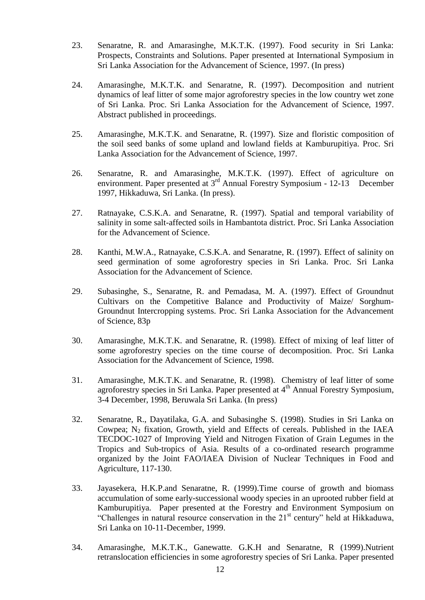- 23. Senaratne, R. and Amarasinghe, M.K.T.K. (1997). Food security in Sri Lanka: Prospects, Constraints and Solutions. Paper presented at International Symposium in Sri Lanka Association for the Advancement of Science, 1997. (In press)
- 24. Amarasinghe, M.K.T.K. and Senaratne, R. (1997). Decomposition and nutrient dynamics of leaf litter of some major agroforestry species in the low country wet zone of Sri Lanka. Proc. Sri Lanka Association for the Advancement of Science, 1997. Abstract published in proceedings.
- 25. Amarasinghe, M.K.T.K. and Senaratne, R. (1997). Size and floristic composition of the soil seed banks of some upland and lowland fields at Kamburupitiya. Proc. Sri Lanka Association for the Advancement of Science, 1997.
- 26. Senaratne, R. and Amarasinghe, M.K.T.K. (1997). Effect of agriculture on environment. Paper presented at 3<sup>rd</sup> Annual Forestry Symposium - 12-13 December 1997, Hikkaduwa, Sri Lanka. (In press).
- 27. Ratnayake, C.S.K.A. and Senaratne, R. (1997). Spatial and temporal variability of salinity in some salt-affected soils in Hambantota district. Proc. Sri Lanka Association for the Advancement of Science.
- 28. Kanthi, M.W.A., Ratnayake, C.S.K.A. and Senaratne, R. (1997). Effect of salinity on seed germination of some agroforestry species in Sri Lanka. Proc. Sri Lanka Association for the Advancement of Science.
- 29. Subasinghe, S., Senaratne, R. and Pemadasa, M. A. (1997). Effect of Groundnut Cultivars on the Competitive Balance and Productivity of Maize/ Sorghum-Groundnut Intercropping systems. Proc. Sri Lanka Association for the Advancement of Science, 83p
- 30. Amarasinghe, M.K.T.K. and Senaratne, R. (1998). Effect of mixing of leaf litter of some agroforestry species on the time course of decomposition. Proc. Sri Lanka Association for the Advancement of Science, 1998.
- 31. Amarasinghe, M.K.T.K. and Senaratne, R. (1998). Chemistry of leaf litter of some agroforestry species in Sri Lanka. Paper presented at 4<sup>th</sup> Annual Forestry Symposium, 3-4 December, 1998, Beruwala Sri Lanka. (In press)
- 32. Senaratne, R., Dayatilaka, G.A. and Subasinghe S. (1998). Studies in Sri Lanka on Cowpea;  $N_2$  fixation, Growth, yield and Effects of cereals. Published in the IAEA TECDOC-1027 of Improving Yield and Nitrogen Fixation of Grain Legumes in the Tropics and Sub-tropics of Asia. Results of a co-ordinated research programme organized by the Joint FAO/IAEA Division of Nuclear Techniques in Food and Agriculture, 117-130.
- 33. Jayasekera, H.K.P.and Senaratne, R. (1999).Time course of growth and biomass accumulation of some early-successional woody species in an uprooted rubber field at Kamburupitiya. Paper presented at the Forestry and Environment Symposium on "Challenges in natural resource conservation in the  $21<sup>st</sup>$  century" held at Hikkaduwa, Sri Lanka on 10-11-December, 1999.
- 34. Amarasinghe, M.K.T.K., Ganewatte. G.K.H and Senaratne, R (1999).Nutrient retranslocation efficiencies in some agroforestry species of Sri Lanka. Paper presented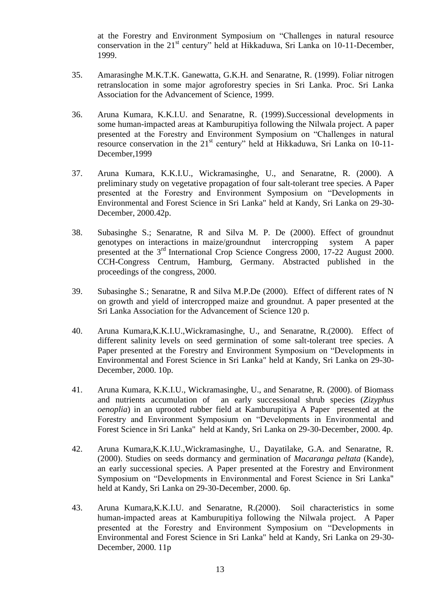at the Forestry and Environment Symposium on "Challenges in natural resource conservation in the 21<sup>st</sup> century" held at Hikkaduwa, Sri Lanka on 10-11-December, 1999.

- 35. Amarasinghe M.K.T.K. Ganewatta, G.K.H. and Senaratne, R. (1999). Foliar nitrogen retranslocation in some major agroforestry species in Sri Lanka. Proc. Sri Lanka Association for the Advancement of Science, 1999.
- 36. Aruna Kumara, K.K.I.U. and Senaratne, R. (1999).Successional developments in some human-impacted areas at Kamburupitiya following the Nilwala project. A paper presented at the Forestry and Environment Symposium on "Challenges in natural resource conservation in the  $21<sup>st</sup>$  century" held at Hikkaduwa, Sri Lanka on 10-11-December,1999
- 37. Aruna Kumara, K.K.I.U., Wickramasinghe, U., and Senaratne, R. (2000). A preliminary study on vegetative propagation of four salt-tolerant tree species. A Paper presented at the Forestry and Environment Symposium on "Developments in Environmental and Forest Science in Sri Lanka" held at Kandy, Sri Lanka on 29-30- December, 2000.42p.
- 38. Subasinghe S.; Senaratne, R and Silva M. P. De (2000). Effect of groundnut genotypes on interactions in maize/groundnut intercropping system A paper presented at the 3<sup>rd</sup> International Crop Science Congress 2000, 17-22 August 2000. CCH-Congress Centrum, Hamburg, Germany. Abstracted published in the proceedings of the congress, 2000.
- 39. Subasinghe S.; Senaratne, R and Silva M.P.De (2000). Effect of different rates of N on growth and yield of intercropped maize and groundnut. A paper presented at the Sri Lanka Association for the Advancement of Science 120 p.
- 40. Aruna Kumara,K.K.I.U.,Wickramasinghe, U., and Senaratne, R.(2000). Effect of different salinity levels on seed germination of some salt-tolerant tree species. A Paper presented at the Forestry and Environment Symposium on "Developments in Environmental and Forest Science in Sri Lanka" held at Kandy, Sri Lanka on 29-30- December, 2000. 10p.
- 41. Aruna Kumara, K.K.I.U., Wickramasinghe, U., and Senaratne, R. (2000). of Biomass and nutrients accumulation of an early successional shrub species (*Zizyphus oenoplia*) in an uprooted rubber field at Kamburupitiya A Paper presented at the Forestry and Environment Symposium on "Developments in Environmental and Forest Science in Sri Lanka" held at Kandy, Sri Lanka on 29-30-December, 2000. 4p.
- 42. Aruna Kumara,K.K.I.U.,Wickramasinghe, U., Dayatilake, G.A. and Senaratne, R. (2000). Studies on seeds dormancy and germination of *Macaranga peltata* (Kande), an early successional species. A Paper presented at the Forestry and Environment Symposium on "Developments in Environmental and Forest Science in Sri Lanka" held at Kandy, Sri Lanka on 29-30-December, 2000. 6p.
- 43. Aruna Kumara,K.K.I.U. and Senaratne, R.(2000). Soil characteristics in some human-impacted areas at Kamburupitiya following the Nilwala project. A Paper presented at the Forestry and Environment Symposium on "Developments in Environmental and Forest Science in Sri Lanka" held at Kandy, Sri Lanka on 29-30- December, 2000. 11p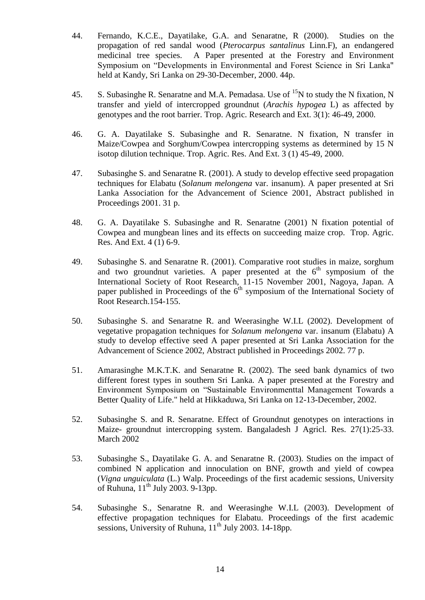- 44. Fernando, K.C.E., Dayatilake, G.A. and Senaratne, R (2000). Studies on the propagation of red sandal wood (*Pterocarpus santalinus* Linn.F), an endangered medicinal tree species. A Paper presented at the Forestry and Environment Symposium on "Developments in Environmental and Forest Science in Sri Lanka" held at Kandy, Sri Lanka on 29-30-December, 2000. 44p.
- 45. S. Subasinghe R. Senaratne and M.A. Pemadasa. Use of  $^{15}N$  to study the N fixation, N transfer and yield of intercropped groundnut (*Arachis hypogea* L) as affected by genotypes and the root barrier. Trop. Agric. Research and Ext. 3(1): 46-49, 2000.
- 46. G. A. Dayatilake S. Subasinghe and R. Senaratne. N fixation, N transfer in Maize/Cowpea and Sorghum/Cowpea intercropping systems as determined by 15 N isotop dilution technique. Trop. Agric. Res. And Ext. 3 (1) 45-49, 2000.
- 47. Subasinghe S. and Senaratne R. (2001). A study to develop effective seed propagation techniques for Elabatu (*Solanum melongena* var. insanum). A paper presented at Sri Lanka Association for the Advancement of Science 2001, Abstract published in Proceedings 2001. 31 p.
- 48. G. A. Dayatilake S. Subasinghe and R. Senaratne (2001) N fixation potential of Cowpea and mungbean lines and its effects on succeeding maize crop. Trop. Agric. Res. And Ext. 4 (1) 6-9.
- 49. Subasinghe S. and Senaratne R. (2001). Comparative root studies in maize, sorghum and two groundnut varieties. A paper presented at the  $6<sup>th</sup>$  symposium of the International Society of Root Research, 11-15 November 2001, Nagoya, Japan. A paper published in Proceedings of the  $6<sup>th</sup>$  symposium of the International Society of Root Research.154-155.
- 50. Subasinghe S. and Senaratne R. and Weerasinghe W.I.L (2002). Development of vegetative propagation techniques for *Solanum melongena* var. insanum (Elabatu) A study to develop effective seed A paper presented at Sri Lanka Association for the Advancement of Science 2002, Abstract published in Proceedings 2002. 77 p.
- 51. Amarasinghe M.K.T.K. and Senaratne R. (2002). The seed bank dynamics of two different forest types in southern Sri Lanka. A paper presented at the Forestry and Environment Symposium on "Sustainable Environmenttal Management Towards a Better Quality of Life." held at Hikkaduwa, Sri Lanka on 12-13-December, 2002.
- 52. Subasinghe S. and R. Senaratne. Effect of Groundnut genotypes on interactions in Maize- groundnut intercropping system. Bangaladesh J Agricl. Res. 27(1):25-33. March 2002
- 53. Subasinghe S., Dayatilake G. A. and Senaratne R. (2003). Studies on the impact of combined N application and innoculation on BNF, growth and yield of cowpea (*Vigna unguiculata* (L.) Walp. Proceedings of the first academic sessions, University of Ruhuna, 11<sup>th</sup> July 2003. 9-13pp.
- 54. Subasinghe S., Senaratne R. and Weerasinghe W.I.L (2003). Development of effective propagation techniques for Elabatu. Proceedings of the first academic sessions, University of Ruhuna,  $11<sup>th</sup>$  July 2003. 14-18pp.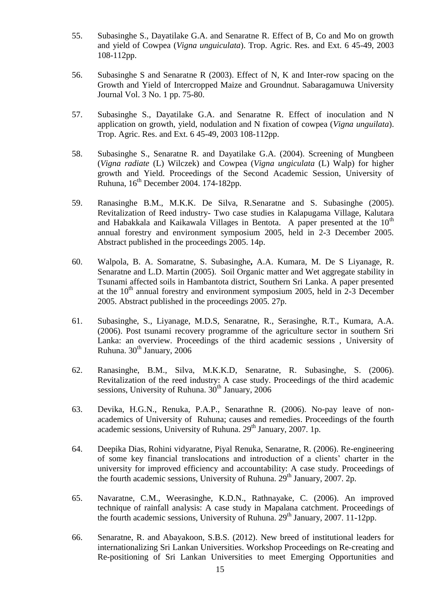- 55. Subasinghe S., Dayatilake G.A. and Senaratne R. Effect of B, Co and Mo on growth and yield of Cowpea (*Vigna unguiculata*). Trop. Agric. Res. and Ext. 6 45-49, 2003 108-112pp.
- 56. Subasinghe S and Senaratne R (2003). Effect of N, K and Inter-row spacing on the Growth and Yield of Intercropped Maize and Groundnut. Sabaragamuwa University Journal Vol. 3 No. 1 pp. 75-80.
- 57. Subasinghe S., Dayatilake G.A. and Senaratne R. Effect of inoculation and N application on growth, yield, nodulation and N fixation of cowpea (*Vigna unguilata*). Trop. Agric. Res. and Ext. 6 45-49, 2003 108-112pp.
- 58. Subasinghe S., Senaratne R. and Dayatilake G.A. (2004). Screening of Mungbeen (*Vigna radiate* (L) Wilczek) and Cowpea (*Vigna ungiculata* (L) Walp) for higher growth and Yield. Proceedings of the Second Academic Session, University of Ruhuna,  $16<sup>th</sup>$  December 2004. 174-182pp.
- 59. Ranasinghe B.M., M.K.K. De Silva, R.Senaratne and S. Subasinghe (2005). Revitalization of Reed industry- Two case studies in Kalapugama Village, Kalutara and Habakkala and Kaikawala Villages in Bentota. A paper presented at the  $10<sup>th</sup>$ annual forestry and environment symposium 2005, held in 2-3 December 2005. Abstract published in the proceedings 2005. 14p.
- 60. Walpola, B. A. Somaratne, S. Subasinghe**,** A.A. Kumara, M. De S Liyanage, R. Senaratne and L.D. Martin (2005). Soil Organic matter and Wet aggregate stability in Tsunami affected soils in Hambantota district, Southern Sri Lanka. A paper presented at the  $10<sup>th</sup>$  annual forestry and environment symposium 2005, held in 2-3 December 2005. Abstract published in the proceedings 2005. 27p.
- 61. Subasinghe, S., Liyanage, M.D.S, Senaratne, R., Serasinghe, R.T., Kumara, A.A. (2006). Post tsunami recovery programme of the agriculture sector in southern Sri Lanka: an overview. Proceedings of the third academic sessions , University of Ruhuna.  $30<sup>th</sup>$  January, 2006
- 62. Ranasinghe, B.M., Silva, M.K.K.D, Senaratne, R. Subasinghe, S. (2006). Revitalization of the reed industry: A case study. Proceedings of the third academic sessions, University of Ruhuna.  $30<sup>th</sup>$  January, 2006
- 63. Devika, H.G.N., Renuka, P.A.P., Senarathne R. (2006). No-pay leave of nonacademics of University of Ruhuna; causes and remedies. Proceedings of the fourth academic sessions, University of Ruhuna. 29<sup>th</sup> January, 2007. 1p.
- 64. Deepika Dias, Rohini vidyaratne, Piyal Renuka, Senaratne, R. (2006). Re-engineering of some key financial translocations and introduction of a clients" charter in the university for improved efficiency and accountability: A case study. Proceedings of the fourth academic sessions, University of Ruhuna.  $29<sup>th</sup>$  January, 2007. 2p.
- 65. Navaratne, C.M., Weerasinghe, K.D.N., Rathnayake, C. (2006). An improved technique of rainfall analysis: A case study in Mapalana catchment. Proceedings of the fourth academic sessions, University of Ruhuna.  $29<sup>th</sup>$  January, 2007. 11-12pp.
- 66. Senaratne, R. and Abayakoon, S.B.S. (2012). New breed of institutional leaders for internationalizing Sri Lankan Universities. Workshop Proceedings on Re-creating and Re-positioning of Sri Lankan Universities to meet Emerging Opportunities and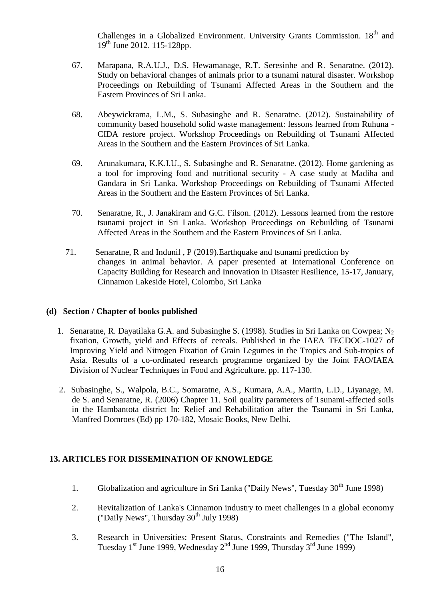Challenges in a Globalized Environment. University Grants Commission. 18<sup>th</sup> and 19th June 2012. 115-128pp.

- 67. Marapana, R.A.U.J., D.S. Hewamanage, R.T. Seresinhe and R. Senaratne. (2012). Study on behavioral changes of animals prior to a tsunami natural disaster. Workshop Proceedings on Rebuilding of Tsunami Affected Areas in the Southern and the Eastern Provinces of Sri Lanka.
- 68. Abeywickrama, L.M., S. Subasinghe and R. Senaratne. (2012). Sustainability of community based household solid waste management: lessons learned from Ruhuna - CIDA restore project. Workshop Proceedings on Rebuilding of Tsunami Affected Areas in the Southern and the Eastern Provinces of Sri Lanka.
- 69. Arunakumara, K.K.I.U., S. Subasinghe and R. Senaratne. (2012). Home gardening as a tool for improving food and nutritional security - A case study at Madiha and Gandara in Sri Lanka. Workshop Proceedings on Rebuilding of Tsunami Affected Areas in the Southern and the Eastern Provinces of Sri Lanka.
- 70. Senaratne, R., J. Janakiram and G.C. Filson. (2012). Lessons learned from the restore tsunami project in Sri Lanka. Workshop Proceedings on Rebuilding of Tsunami Affected Areas in the Southern and the Eastern Provinces of Sri Lanka.
- 71. Senaratne, R and Indunil , P (2019).Earthquake and tsunami prediction by changes in animal behavior. A paper presented at International Conference on Capacity Building for Research and Innovation in Disaster Resilience, 15-17, January, Cinnamon Lakeside Hotel, Colombo, Sri Lanka

#### **(d) Section / Chapter of books published**

- 1. Senaratne, R. Dayatilaka G.A. and Subasinghe S. (1998). Studies in Sri Lanka on Cowpea; N<sub>2</sub> fixation, Growth, yield and Effects of cereals. Published in the IAEA TECDOC-1027 of Improving Yield and Nitrogen Fixation of Grain Legumes in the Tropics and Sub-tropics of Asia. Results of a co-ordinated research programme organized by the Joint FAO/IAEA Division of Nuclear Techniques in Food and Agriculture. pp. 117-130.
- 2. Subasinghe, S., Walpola, B.C., Somaratne, A.S., Kumara, A.A., Martin, L.D., Liyanage, M. de S. and Senaratne, R. (2006) Chapter 11. Soil quality parameters of Tsunami-affected soils in the Hambantota district In: Relief and Rehabilitation after the Tsunami in Sri Lanka, Manfred Domroes (Ed) pp 170-182, Mosaic Books, New Delhi.

## **13. ARTICLES FOR DISSEMINATION OF KNOWLEDGE**

- 1. Globalization and agriculture in Sri Lanka ("Daily News", Tuesday  $30<sup>th</sup>$  June 1998)
- 2. Revitalization of Lanka's Cinnamon industry to meet challenges in a global economy ("Daily News", Thursday  $30<sup>th</sup>$  July 1998)
- 3. Research in Universities: Present Status, Constraints and Remedies ("The Island", Tuesday  $1<sup>st</sup>$  June 1999, Wednesday  $2<sup>nd</sup>$  June 1999, Thursday  $3<sup>rd</sup>$  June 1999)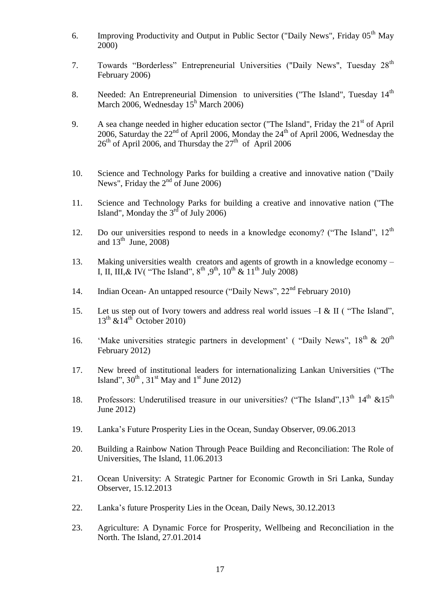- 6. Improving Productivity and Output in Public Sector ("Daily News", Friday  $05<sup>th</sup>$  May 2000)
- 7. Towards "Borderless" Entrepreneurial Universities ("Daily News", Tuesday 28<sup>th</sup> February 2006)
- 8. Needed: An Entrepreneurial Dimension to universities ("The Island", Tuesday 14<sup>th</sup> March 2006, Wednesday  $15<sup>h</sup>$  March 2006)
- 9. A sea change needed in higher education sector ("The Island", Friday the 21<sup>st</sup> of April 2006, Saturday the  $22<sup>nd</sup>$  of April 2006, Monday the  $24<sup>th</sup>$  of April 2006, Wednesday the  $26<sup>th</sup>$  of April 2006, and Thursday the  $27<sup>th</sup>$  of April 2006
- 10. Science and Technology Parks for building a creative and innovative nation ("Daily News", Friday the  $2<sup>nd</sup>$  of June 2006)
- 11. Science and Technology Parks for building a creative and innovative nation ("The Island", Monday the  $3<sup>rd</sup>$  of July 2006)
- 12. Do our universities respond to needs in a knowledge economy? ("The Island", 12<sup>th</sup> and  $13^{\text{th}}$  June, 2008)
- 13. Making universities wealth creators and agents of growth in a knowledge economy I, II, III, & IV( "The Island",  $8^{th}$ ,  $9^{th}$ ,  $10^{th}$  &  $11^{th}$  July 2008)
- 14. Indian Ocean- An untapped resource ("Daily News", 22<sup>nd</sup> February 2010)
- 15. Let us step out of Ivory towers and address real world issues –I & II ( "The Island",  $13<sup>th</sup>$  &  $14<sup>th</sup>$  October 2010)
- 16. 'Make universities strategic partners in development' ( "Daily News",  $18^{th}$  &  $20^{th}$ February 2012)
- 17. New breed of institutional leaders for internationalizing Lankan Universities ("The Island",  $30<sup>th</sup>$ ,  $31<sup>st</sup>$  May and  $1<sup>st</sup>$  June 2012)
- 18. Professors: Underutilised treasure in our universities? ("The Island",  $13<sup>th</sup> 14<sup>th</sup> \& 15<sup>th</sup>$ June 2012)
- 19. Lanka"s Future Prosperity Lies in the Ocean, Sunday Observer, 09.06.2013
- 20. Building a Rainbow Nation Through Peace Building and Reconciliation: The Role of Universities, The Island, 11.06.2013
- 21. Ocean University: A Strategic Partner for Economic Growth in Sri Lanka, Sunday Observer, 15.12.2013
- 22. Lanka"s future Prosperity Lies in the Ocean, Daily News, 30.12.2013
- 23. Agriculture: A Dynamic Force for Prosperity, Wellbeing and Reconciliation in the North. The Island, 27.01.2014